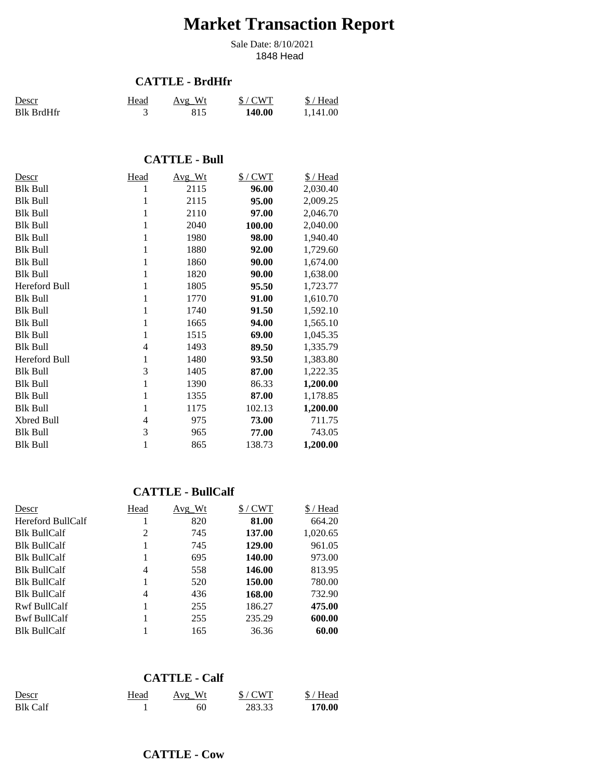# **Market Transaction Report**

1848 Head Sale Date: 8/10/2021

#### **CATTLE - BrdHfr**

| Descr             | Head | Avg Wt | $$/$ CWT | \$/Head  |
|-------------------|------|--------|----------|----------|
| <b>Blk BrdHfr</b> |      | 815    | 140.00   | 1.141.00 |

## **CATTLE - Bull**

| Descr           | Head | Avg_Wt | $$/$ CWT | \$/Head  |
|-----------------|------|--------|----------|----------|
| Blk Bull        | 1    | 2115   | 96.00    | 2,030.40 |
| Blk Bull        | 1    | 2115   | 95.00    | 2,009.25 |
| Blk Bull        | 1    | 2110   | 97.00    | 2,046.70 |
| Blk Bull        | 1    | 2040   | 100.00   | 2,040.00 |
| Blk Bull        | 1    | 1980   | 98.00    | 1,940.40 |
| Blk Bull        | 1    | 1880   | 92.00    | 1,729.60 |
| Blk Bull        | 1    | 1860   | 90.00    | 1,674.00 |
| Blk Bull        | 1    | 1820   | 90.00    | 1,638.00 |
| Hereford Bull   | 1    | 1805   | 95.50    | 1,723.77 |
| Blk Bull        | 1    | 1770   | 91.00    | 1,610.70 |
| Blk Bull        | 1    | 1740   | 91.50    | 1,592.10 |
| Blk Bull        | 1    | 1665   | 94.00    | 1,565.10 |
| Blk Bull        | 1    | 1515   | 69.00    | 1,045.35 |
| Blk Bull        | 4    | 1493   | 89.50    | 1,335.79 |
| Hereford Bull   | 1    | 1480   | 93.50    | 1,383.80 |
| Blk Bull        | 3    | 1405   | 87.00    | 1,222.35 |
| Blk Bull        | 1    | 1390   | 86.33    | 1,200.00 |
| <b>Blk Bull</b> | 1    | 1355   | 87.00    | 1,178.85 |
| Blk Bull        | 1    | 1175   | 102.13   | 1,200.00 |
| Xbred Bull      | 4    | 975    | 73.00    | 711.75   |
| Blk Bull        | 3    | 965    | 77.00    | 743.05   |
| Blk Bull        | 1    | 865    | 138.73   | 1,200.00 |

### **CATTLE - BullCalf**

| <u>Descr</u>        | Head | Avg Wt | $$/$ CWT | \$/Head  |
|---------------------|------|--------|----------|----------|
| Hereford BullCalf   |      | 820    | 81.00    | 664.20   |
| <b>Blk BullCalf</b> | 2    | 745    | 137.00   | 1,020.65 |
| <b>Blk BullCalf</b> |      | 745    | 129.00   | 961.05   |
| <b>Blk BullCalf</b> |      | 695    | 140.00   | 973.00   |
| <b>Blk BullCalf</b> | 4    | 558    | 146.00   | 813.95   |
| <b>Blk BullCalf</b> |      | 520    | 150.00   | 780.00   |
| <b>Blk BullCalf</b> | 4    | 436    | 168.00   | 732.90   |
| <b>Rwf BullCalf</b> |      | 255    | 186.27   | 475.00   |
| <b>Bwf BullCalf</b> |      | 255    | 235.29   | 600.00   |
| <b>Blk BullCalf</b> |      | 165    | 36.36    | 60.00    |

#### **CATTLE - Calf**

| Descr           | <u>Head</u> | Avg Wt | $$/$ CWT | \$/Head |
|-----------------|-------------|--------|----------|---------|
| <b>Blk Calf</b> |             | 60     | 283.33   | 170.00  |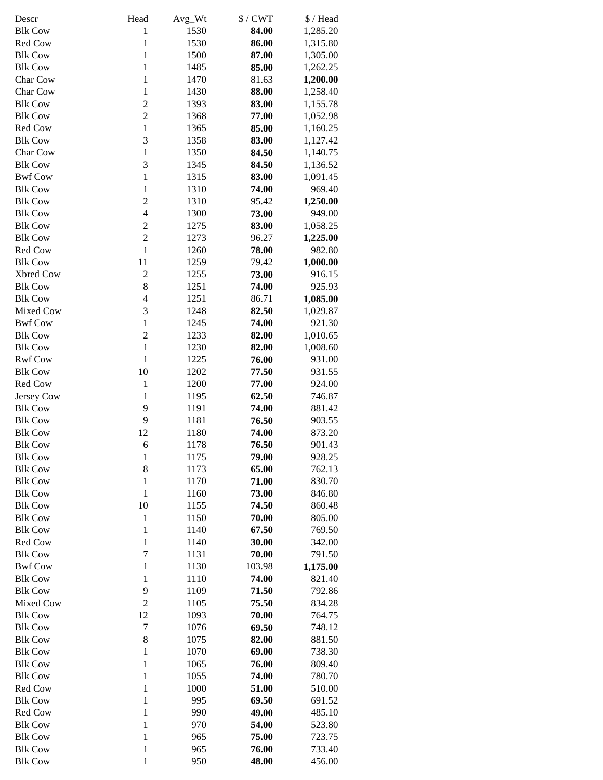| Descr          | Head             | Avg Wt | $$/$ CWT | \$/Head  |
|----------------|------------------|--------|----------|----------|
| <b>Blk Cow</b> | $\mathbf{1}$     | 1530   | 84.00    | 1,285.20 |
| Red Cow        | $\mathbf{1}$     | 1530   | 86.00    | 1,315.80 |
| <b>Blk Cow</b> | $\mathbf{1}$     | 1500   | 87.00    | 1,305.00 |
| <b>Blk Cow</b> | $\mathbf{1}$     | 1485   | 85.00    | 1,262.25 |
| Char Cow       | $\mathbf{1}$     | 1470   | 81.63    | 1,200.00 |
| Char Cow       | $\mathbf{1}$     | 1430   | 88.00    | 1,258.40 |
| <b>Blk Cow</b> | $\overline{c}$   | 1393   | 83.00    | 1,155.78 |
| <b>Blk Cow</b> | $\overline{2}$   | 1368   | 77.00    | 1,052.98 |
| Red Cow        | $\mathbf{1}$     | 1365   | 85.00    | 1,160.25 |
| <b>Blk Cow</b> | 3                | 1358   | 83.00    | 1,127.42 |
| Char Cow       | $\mathbf{1}$     | 1350   | 84.50    | 1,140.75 |
| <b>Blk Cow</b> | 3                | 1345   | 84.50    | 1,136.52 |
| <b>Bwf Cow</b> | $\mathbf{1}$     | 1315   | 83.00    | 1,091.45 |
| <b>Blk Cow</b> | $\mathbf{1}$     | 1310   | 74.00    | 969.40   |
| <b>Blk Cow</b> | $\overline{c}$   | 1310   | 95.42    | 1,250.00 |
| <b>Blk Cow</b> | $\overline{4}$   | 1300   | 73.00    | 949.00   |
| <b>Blk Cow</b> | $\overline{c}$   | 1275   | 83.00    | 1,058.25 |
| <b>Blk Cow</b> | $\overline{2}$   | 1273   | 96.27    | 1,225.00 |
| Red Cow        | $\mathbf{1}$     | 1260   | 78.00    | 982.80   |
| <b>Blk Cow</b> | 11               | 1259   | 79.42    | 1,000.00 |
| Xbred Cow      | $\overline{c}$   | 1255   | 73.00    | 916.15   |
| <b>Blk Cow</b> | 8                | 1251   | 74.00    | 925.93   |
| <b>Blk Cow</b> | $\overline{4}$   | 1251   | 86.71    | 1,085.00 |
| Mixed Cow      | 3                | 1248   | 82.50    | 1,029.87 |
| <b>Bwf Cow</b> | $\mathbf{1}$     | 1245   | 74.00    | 921.30   |
| <b>Blk Cow</b> | $\overline{c}$   | 1233   | 82.00    | 1,010.65 |
| <b>Blk Cow</b> | $\mathbf{1}$     | 1230   | 82.00    | 1,008.60 |
| <b>Rwf Cow</b> | $\mathbf{1}$     | 1225   | 76.00    | 931.00   |
| <b>Blk Cow</b> | 10               | 1202   | 77.50    | 931.55   |
| Red Cow        | $\mathbf{1}$     | 1200   | 77.00    | 924.00   |
| Jersey Cow     | $\mathbf{1}$     | 1195   | 62.50    | 746.87   |
| <b>Blk Cow</b> | 9                | 1191   | 74.00    | 881.42   |
| <b>Blk Cow</b> | 9                | 1181   | 76.50    | 903.55   |
| <b>Blk Cow</b> | 12               | 1180   | 74.00    | 873.20   |
| <b>Blk Cow</b> | 6                | 1178   | 76.50    | 901.43   |
| <b>Blk Cow</b> | $\mathbf{1}$     | 1175   | 79.00    | 928.25   |
| <b>Blk Cow</b> | 8                | 1173   | 65.00    | 762.13   |
| <b>Blk Cow</b> | $\mathbf{1}$     | 1170   | 71.00    | 830.70   |
| <b>Blk Cow</b> | $\mathbf{1}$     | 1160   | 73.00    | 846.80   |
| <b>Blk Cow</b> | 10               | 1155   | 74.50    | 860.48   |
| <b>Blk Cow</b> | $\mathbf{1}$     | 1150   | 70.00    | 805.00   |
| <b>Blk Cow</b> | $\mathbf{1}$     | 1140   | 67.50    | 769.50   |
| Red Cow        | $\mathbf{1}$     | 1140   | 30.00    | 342.00   |
| <b>Blk Cow</b> | $\boldsymbol{7}$ | 1131   | 70.00    | 791.50   |
| <b>Bwf Cow</b> | $\mathbf{1}$     | 1130   | 103.98   | 1,175.00 |
| <b>Blk Cow</b> | $\mathbf{1}$     | 1110   | 74.00    | 821.40   |
| <b>Blk Cow</b> | 9                | 1109   | 71.50    | 792.86   |
| Mixed Cow      | $\overline{2}$   | 1105   | 75.50    | 834.28   |
| <b>Blk Cow</b> | 12               | 1093   | 70.00    | 764.75   |
| <b>Blk Cow</b> | $\tau$           | 1076   | 69.50    | 748.12   |
| <b>Blk Cow</b> | 8                | 1075   | 82.00    | 881.50   |
| <b>Blk Cow</b> | $\mathbf{1}$     | 1070   | 69.00    | 738.30   |
| <b>Blk Cow</b> | $\mathbf{1}$     | 1065   | 76.00    | 809.40   |
| <b>Blk Cow</b> | $\mathbf{1}$     | 1055   | 74.00    | 780.70   |
| Red Cow        | $\mathbf{1}$     | 1000   | 51.00    | 510.00   |
| <b>Blk Cow</b> | $\mathbf{1}$     | 995    | 69.50    | 691.52   |
| Red Cow        | $\mathbf{1}$     | 990    | 49.00    | 485.10   |
| <b>Blk Cow</b> | $\mathbf{1}$     | 970    | 54.00    | 523.80   |
| <b>Blk Cow</b> | $\mathbf{1}$     | 965    | 75.00    | 723.75   |
| <b>Blk Cow</b> | $\mathbf{1}$     | 965    | 76.00    | 733.40   |
| <b>Blk Cow</b> | $\mathbf 1$      | 950    | 48.00    | 456.00   |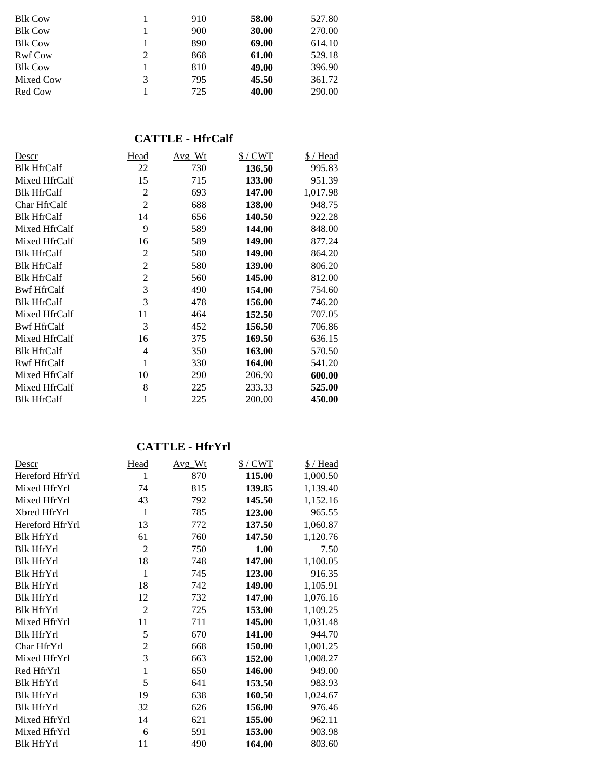| <b>Blk Cow</b> |   | 910 | 58.00 | 527.80 |
|----------------|---|-----|-------|--------|
| <b>Blk Cow</b> |   | 900 | 30.00 | 270.00 |
| <b>Blk Cow</b> |   | 890 | 69.00 | 614.10 |
| <b>Rwf Cow</b> | 2 | 868 | 61.00 | 529.18 |
| <b>Blk Cow</b> |   | 810 | 49.00 | 396.90 |
| Mixed Cow      | 3 | 795 | 45.50 | 361.72 |
| Red Cow        |   | 725 | 40.00 | 290.00 |
|                |   |     |       |        |

## **CATTLE - HfrCalf**

| Descr              | Head           | Avg_Wt | $$/$ CWT | $$/$ Head |
|--------------------|----------------|--------|----------|-----------|
| <b>Blk HfrCalf</b> | 22             | 730    | 136.50   | 995.83    |
| Mixed HfrCalf      | 15             | 715    | 133.00   | 951.39    |
| <b>Blk HfrCalf</b> | $\overline{2}$ | 693    | 147.00   | 1,017.98  |
| Char HfrCalf       | $\overline{2}$ | 688    | 138.00   | 948.75    |
| <b>Blk HfrCalf</b> | 14             | 656    | 140.50   | 922.28    |
| Mixed HfrCalf      | 9              | 589    | 144.00   | 848.00    |
| Mixed HfrCalf      | 16             | 589    | 149.00   | 877.24    |
| <b>Blk HfrCalf</b> | $\overline{2}$ | 580    | 149.00   | 864.20    |
| <b>Blk HfrCalf</b> | 2              | 580    | 139.00   | 806.20    |
| <b>Blk HfrCalf</b> | 2              | 560    | 145.00   | 812.00    |
| <b>Bwf HfrCalf</b> | 3              | 490    | 154.00   | 754.60    |
| <b>Blk HfrCalf</b> | 3              | 478    | 156.00   | 746.20    |
| Mixed HfrCalf      | 11             | 464    | 152.50   | 707.05    |
| <b>Bwf HfrCalf</b> | 3              | 452    | 156.50   | 706.86    |
| Mixed HfrCalf      | 16             | 375    | 169.50   | 636.15    |
| <b>Blk HfrCalf</b> | 4              | 350    | 163.00   | 570.50    |
| <b>Rwf HfrCalf</b> | 1              | 330    | 164.00   | 541.20    |
| Mixed HfrCalf      | 10             | 290    | 206.90   | 600.00    |
| Mixed HfrCalf      | 8              | 225    | 233.33   | 525.00    |
| <b>Blk HfrCalf</b> | 1              | 225    | 200.00   | 450.00    |

# **CATTLE - HfrYrl**

| Descr             | <b>Head</b>    | Avg Wt | $$/$ CWT | \$/Head  |
|-------------------|----------------|--------|----------|----------|
| Hereford HfrYrl   | 1              | 870    | 115.00   | 1,000.50 |
| Mixed HfrYrl      | 74             | 815    | 139.85   | 1,139.40 |
| Mixed HfrYrl      | 43             | 792    | 145.50   | 1,152.16 |
| Xbred HfrYrl      | $\mathbf{1}$   | 785    | 123.00   | 965.55   |
| Hereford HfrYrl   | 13             | 772    | 137.50   | 1,060.87 |
| <b>Blk HfrYrl</b> | 61             | 760    | 147.50   | 1,120.76 |
| <b>Blk HfrYrl</b> | $\overline{2}$ | 750    | 1.00     | 7.50     |
| <b>Blk HfrYrl</b> | 18             | 748    | 147.00   | 1,100.05 |
| <b>Blk HfrYrl</b> | $\mathbf{1}$   | 745    | 123.00   | 916.35   |
| <b>Blk HfrYrl</b> | 18             | 742    | 149.00   | 1,105.91 |
| <b>Blk HfrYrl</b> | 12             | 732    | 147.00   | 1,076.16 |
| <b>Blk HfrYrl</b> | $\overline{2}$ | 725    | 153.00   | 1,109.25 |
| Mixed HfrYrl      | 11             | 711    | 145.00   | 1,031.48 |
| <b>Blk HfrYrl</b> | 5              | 670    | 141.00   | 944.70   |
| Char HfrYrl       | $\overline{2}$ | 668    | 150.00   | 1,001.25 |
| Mixed HfrYrl      | 3              | 663    | 152.00   | 1,008.27 |
| Red HfrYrl        | $\mathbf{1}$   | 650    | 146.00   | 949.00   |
| <b>Blk HfrYrl</b> | 5              | 641    | 153.50   | 983.93   |
| <b>Blk HfrYrl</b> | 19             | 638    | 160.50   | 1,024.67 |
| <b>Blk HfrYrl</b> | 32             | 626    | 156.00   | 976.46   |
| Mixed HfrYrl      | 14             | 621    | 155.00   | 962.11   |
| Mixed HfrYrl      | 6              | 591    | 153.00   | 903.98   |
| <b>Blk HfrYrl</b> | 11             | 490    | 164.00   | 803.60   |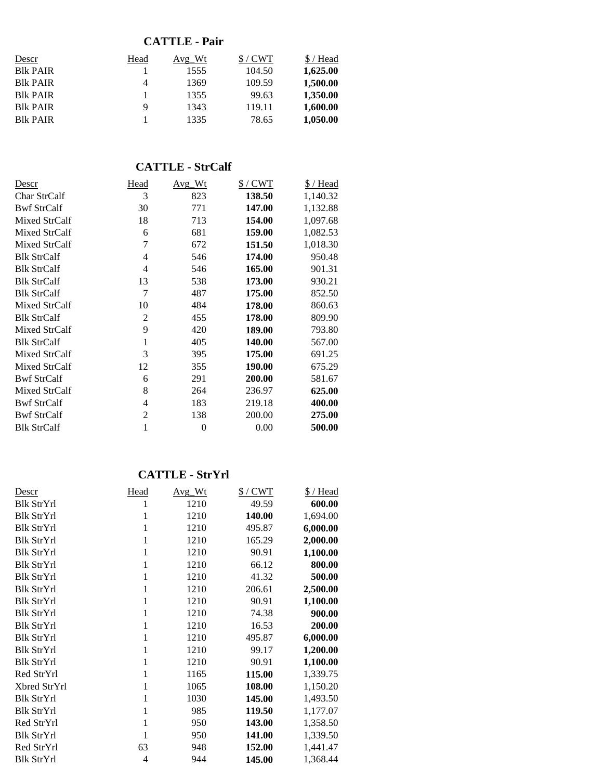## **CATTLE - Pair**

| Head | Avg Wt | $$/$ CWT | \$/Head  |
|------|--------|----------|----------|
|      | 1555   | 104.50   | 1,625.00 |
| 4    | 1369   | 109.59   | 1,500.00 |
|      | 1355   | 99.63    | 1.350.00 |
| 9    | 1343   | 119.11   | 1,600.00 |
|      | 1335   | 78.65    | 1,050.00 |
|      |        |          |          |

## **CATTLE - StrCalf**

| Descr              | Head           | Avg Wt         | $$/$ CWT | $$/$ Head |
|--------------------|----------------|----------------|----------|-----------|
| Char StrCalf       | 3              | 823            | 138.50   | 1,140.32  |
| <b>Bwf StrCalf</b> | 30             | 771            | 147.00   | 1,132.88  |
| Mixed StrCalf      | 18             | 713            | 154.00   | 1,097.68  |
| Mixed StrCalf      | 6              | 681            | 159.00   | 1,082.53  |
| Mixed StrCalf      | 7              | 672            | 151.50   | 1,018.30  |
| <b>Blk StrCalf</b> | 4              | 546            | 174.00   | 950.48    |
| <b>Blk StrCalf</b> | 4              | 546            | 165.00   | 901.31    |
| <b>Blk StrCalf</b> | 13             | 538            | 173.00   | 930.21    |
| <b>Blk StrCalf</b> | 7              | 487            | 175.00   | 852.50    |
| Mixed StrCalf      | 10             | 484            | 178.00   | 860.63    |
| <b>Blk StrCalf</b> | $\overline{2}$ | 455            | 178.00   | 809.90    |
| Mixed StrCalf      | 9              | 420            | 189.00   | 793.80    |
| <b>Blk StrCalf</b> | 1              | 405            | 140.00   | 567.00    |
| Mixed StrCalf      | 3              | 395            | 175.00   | 691.25    |
| Mixed StrCalf      | 12             | 355            | 190.00   | 675.29    |
| <b>Bwf StrCalf</b> | 6              | 291            | 200.00   | 581.67    |
| Mixed StrCalf      | 8              | 264            | 236.97   | 625.00    |
| <b>Bwf StrCalf</b> | 4              | 183            | 219.18   | 400.00    |
| <b>Bwf StrCalf</b> | $\overline{2}$ | 138            | 200.00   | 275.00    |
| <b>Blk StrCalf</b> | 1              | $\overline{0}$ | 0.00     | 500.00    |

#### **CATTLE - StrYrl**

| Descr             | Head           | Avg_Wt | $$/$ CWT | \$/Head  |
|-------------------|----------------|--------|----------|----------|
| Blk StrYrl        | 1              | 1210   | 49.59    | 600.00   |
| <b>Blk StrYrl</b> | 1              | 1210   | 140.00   | 1,694.00 |
| <b>Blk StrYrl</b> | 1              | 1210   | 495.87   | 6,000.00 |
| <b>Blk StrYrl</b> | 1              | 1210   | 165.29   | 2,000.00 |
| <b>Blk StrYrl</b> | 1              | 1210   | 90.91    | 1,100.00 |
| Blk StrYrl        | 1              | 1210   | 66.12    | 800.00   |
| <b>Blk StrYrl</b> | 1              | 1210   | 41.32    | 500.00   |
| <b>Blk StrYrl</b> | 1              | 1210   | 206.61   | 2,500.00 |
| <b>Blk StrYrl</b> | 1              | 1210   | 90.91    | 1,100.00 |
| <b>Blk StrYrl</b> | 1              | 1210   | 74.38    | 900.00   |
| <b>Blk StrYrl</b> | 1              | 1210   | 16.53    | 200.00   |
| <b>Blk StrYrl</b> | 1              | 1210   | 495.87   | 6,000.00 |
| <b>Blk StrYrl</b> | 1              | 1210   | 99.17    | 1,200.00 |
| <b>Blk StrYrl</b> | 1              | 1210   | 90.91    | 1,100.00 |
| Red StrYrl        | 1              | 1165   | 115.00   | 1,339.75 |
| Xbred StrYrl      | 1              | 1065   | 108.00   | 1,150.20 |
| <b>Blk StrYrl</b> | 1              | 1030   | 145.00   | 1,493.50 |
| <b>Blk StrYrl</b> | 1              | 985    | 119.50   | 1,177.07 |
| Red StrYrl        | 1              | 950    | 143.00   | 1,358.50 |
| <b>Blk StrYrl</b> | 1              | 950    | 141.00   | 1,339.50 |
| Red StrYrl        | 63             | 948    | 152.00   | 1,441.47 |
| <b>Blk StrYrl</b> | $\overline{4}$ | 944    | 145.00   | 1,368.44 |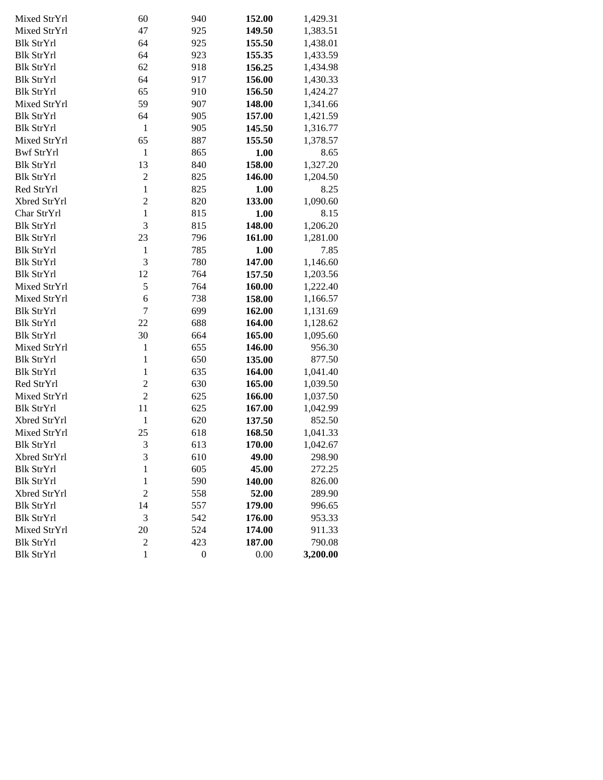| Mixed StrYrl      | 60               | 940              | 152.00 | 1,429.31 |
|-------------------|------------------|------------------|--------|----------|
| Mixed StrYrl      | 47               | 925              | 149.50 | 1,383.51 |
| <b>Blk StrYrl</b> | 64               | 925              | 155.50 | 1,438.01 |
| <b>Blk StrYrl</b> | 64               | 923              | 155.35 | 1,433.59 |
| <b>Blk StrYrl</b> | 62               | 918              | 156.25 | 1,434.98 |
| <b>Blk StrYrl</b> | 64               | 917              | 156.00 | 1,430.33 |
| <b>Blk StrYrl</b> | 65               | 910              | 156.50 | 1,424.27 |
| Mixed StrYrl      | 59               | 907              | 148.00 | 1,341.66 |
| <b>Blk StrYrl</b> | 64               | 905              | 157.00 | 1,421.59 |
| <b>Blk StrYrl</b> | $\mathbf{1}$     | 905              | 145.50 | 1,316.77 |
| Mixed StrYrl      | 65               | 887              | 155.50 | 1,378.57 |
| <b>Bwf StrYrl</b> | $\mathbf{1}$     | 865              | 1.00   | 8.65     |
| <b>Blk StrYrl</b> | 13               | 840              | 158.00 | 1,327.20 |
| <b>Blk StrYrl</b> | $\overline{2}$   | 825              | 146.00 | 1,204.50 |
| Red StrYrl        | $\mathbf{1}$     | 825              | 1.00   | 8.25     |
| Xbred StrYrl      | $\overline{c}$   | 820              | 133.00 | 1,090.60 |
| Char StrYrl       | $\mathbf{1}$     | 815              | 1.00   | 8.15     |
| <b>Blk StrYrl</b> | 3                | 815              | 148.00 | 1,206.20 |
| <b>Blk StrYrl</b> | 23               | 796              | 161.00 | 1,281.00 |
| <b>Blk StrYrl</b> | $\mathbf{1}$     | 785              | 1.00   | 7.85     |
| <b>Blk StrYrl</b> | 3                | 780              | 147.00 | 1,146.60 |
| <b>Blk StrYrl</b> | 12               | 764              | 157.50 | 1,203.56 |
| Mixed StrYrl      | 5                | 764              | 160.00 | 1,222.40 |
| Mixed StrYrl      | 6                | 738              | 158.00 | 1,166.57 |
| <b>Blk StrYrl</b> | $\overline{7}$   | 699              | 162.00 | 1,131.69 |
| <b>Blk StrYrl</b> | 22               | 688              | 164.00 | 1,128.62 |
| <b>Blk StrYrl</b> | 30               | 664              | 165.00 | 1,095.60 |
| Mixed StrYrl      | $\mathbf{1}$     | 655              | 146.00 | 956.30   |
| <b>Blk StrYrl</b> | $\mathbf{1}$     | 650              | 135.00 | 877.50   |
| <b>Blk StrYrl</b> | $\mathbf{1}$     | 635              | 164.00 | 1,041.40 |
| Red StrYrl        | $\overline{2}$   | 630              | 165.00 | 1,039.50 |
| Mixed StrYrl      | $\overline{2}$   | 625              | 166.00 | 1,037.50 |
| <b>Blk StrYrl</b> | 11               | 625              | 167.00 | 1,042.99 |
| Xbred StrYrl      | $\mathbf{1}$     | 620              | 137.50 | 852.50   |
| Mixed StrYrl      | 25               | 618              | 168.50 | 1,041.33 |
| <b>Blk StrYrl</b> | 3                | 613              | 170.00 | 1,042.67 |
| Xbred StrYrl      | 3                | 610              | 49.00  | 298.90   |
| <b>Blk StrYrl</b> | $\mathbf{1}$     | 605              | 45.00  | 272.25   |
| <b>Blk StrYrl</b> | $\mathbf{1}$     | 590              | 140.00 | 826.00   |
| Xbred StrYrl      | $\overline{c}$   | 558              | 52.00  | 289.90   |
| <b>Blk StrYrl</b> | 14               | 557              | 179.00 | 996.65   |
| <b>Blk StrYrl</b> | 3                | 542              | 176.00 | 953.33   |
| Mixed StrYrl      | 20               | 524              | 174.00 | 911.33   |
| <b>Blk StrYrl</b> | $\boldsymbol{2}$ | 423              | 187.00 | 790.08   |
| <b>Blk StrYrl</b> | $\mathbf{1}$     | $\boldsymbol{0}$ | 0.00   | 3,200.00 |